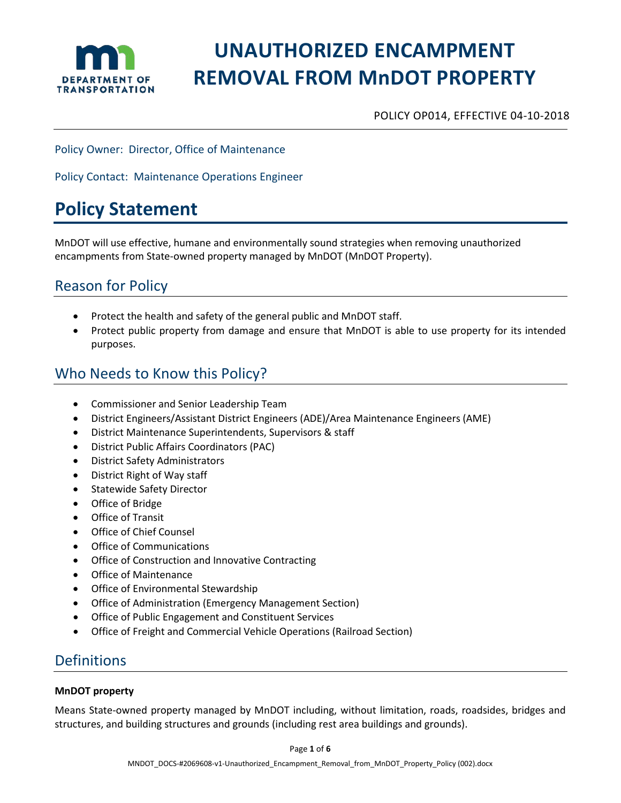

# **UNAUTHORIZED ENCAMPMENT REMOVAL FROM MnDOT PROPERTY**

POLICY OP014, EFFECTIVE 04-10-2018

Policy Owner: Director, Office of Maintenance

Policy Contact: Maintenance Operations Engineer

## **Policy Statement**

MnDOT will use effective, humane and environmentally sound strategies when removing unauthorized encampments from State-owned property managed by MnDOT (MnDOT Property).

## Reason for Policy

- Protect the health and safety of the general public and MnDOT staff.
- Protect public property from damage and ensure that MnDOT is able to use property for its intended purposes.

## Who Needs to Know this Policy?

- Commissioner and Senior Leadership Team
- District Engineers/Assistant District Engineers (ADE)/Area Maintenance Engineers (AME)
- District Maintenance Superintendents, Supervisors & staff
- District Public Affairs Coordinators (PAC)
- District Safety Administrators
- District Right of Way staff
- Statewide Safety Director
- Office of Bridge
- Office of Transit
- Office of Chief Counsel
- Office of Communications
- Office of Construction and Innovative Contracting
- Office of Maintenance
- Office of Environmental Stewardship
- Office of Administration (Emergency Management Section)
- Office of Public Engagement and Constituent Services
- Office of Freight and Commercial Vehicle Operations (Railroad Section)

## **Definitions**

#### **MnDOT property**

Means State-owned property managed by MnDOT including, without limitation, roads, roadsides, bridges and structures, and building structures and grounds (including rest area buildings and grounds).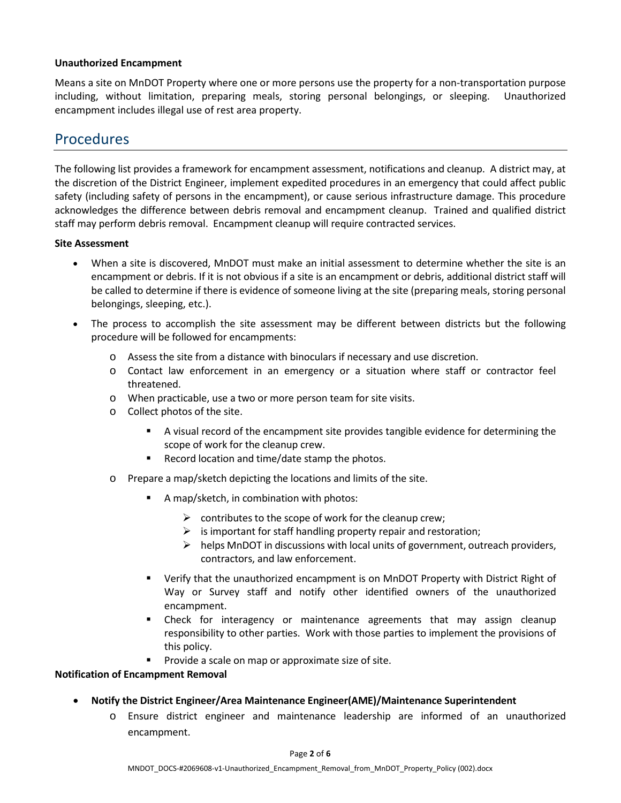#### **Unauthorized Encampment**

Means a site on MnDOT Property where one or more persons use the property for a non-transportation purpose including, without limitation, preparing meals, storing personal belongings, or sleeping. Unauthorized encampment includes illegal use of rest area property.

### Procedures

The following list provides a framework for encampment assessment, notifications and cleanup. A district may, at the discretion of the District Engineer, implement expedited procedures in an emergency that could affect public safety (including safety of persons in the encampment), or cause serious infrastructure damage. This procedure acknowledges the difference between debris removal and encampment cleanup. Trained and qualified district staff may perform debris removal. Encampment cleanup will require contracted services.

#### **Site Assessment**

- When a site is discovered, MnDOT must make an initial assessment to determine whether the site is an encampment or debris. If it is not obvious if a site is an encampment or debris, additional district staff will be called to determine if there is evidence of someone living at the site (preparing meals, storing personal belongings, sleeping, etc.).
- The process to accomplish the site assessment may be different between districts but the following procedure will be followed for encampments:
	- o Assess the site from a distance with binoculars if necessary and use discretion.
	- o Contact law enforcement in an emergency or a situation where staff or contractor feel threatened.
	- o When practicable, use a two or more person team for site visits.
	- o Collect photos of the site.
		- A visual record of the encampment site provides tangible evidence for determining the scope of work for the cleanup crew.
		- Record location and time/date stamp the photos.
	- o Prepare a map/sketch depicting the locations and limits of the site.
		- A map/sketch, in combination with photos:
			- $\triangleright$  contributes to the scope of work for the cleanup crew;
			- $\triangleright$  is important for staff handling property repair and restoration;
			- $\triangleright$  helps MnDOT in discussions with local units of government, outreach providers, contractors, and law enforcement.
		- Verify that the unauthorized encampment is on MnDOT Property with District Right of Way or Survey staff and notify other identified owners of the unauthorized encampment.
		- Check for interagency or maintenance agreements that may assign cleanup responsibility to other parties. Work with those parties to implement the provisions of this policy.
		- Provide a scale on map or approximate size of site.

#### **Notification of Encampment Removal**

- **Notify the District Engineer/Area Maintenance Engineer(AME)/Maintenance Superintendent**
	- o Ensure district engineer and maintenance leadership are informed of an unauthorized encampment.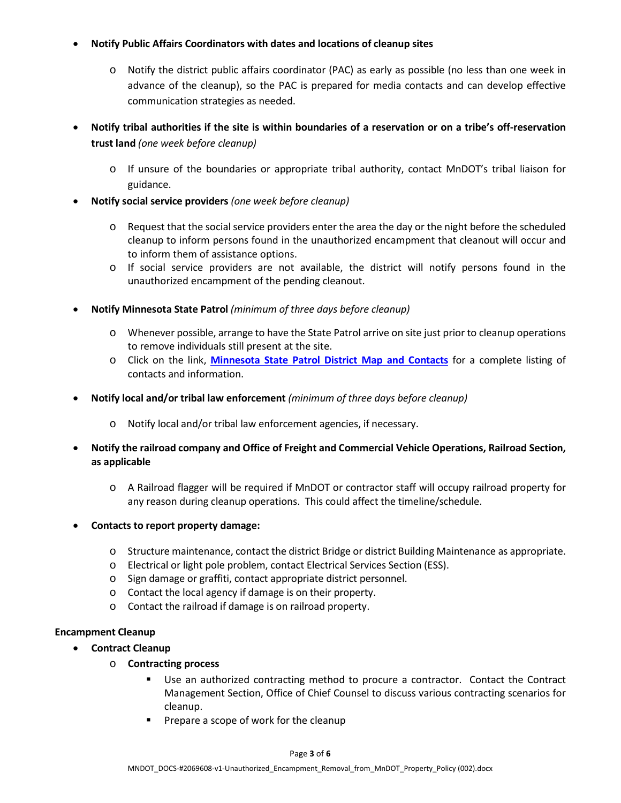#### • **Notify Public Affairs Coordinators with dates and locations of cleanup sites**

- o Notify the district public affairs coordinator (PAC) as early as possible (no less than one week in advance of the cleanup), so the PAC is prepared for media contacts and can develop effective communication strategies as needed.
- **Notify tribal authorities if the site is within boundaries of a reservation or on a tribe's off-reservation trust land** *(one week before cleanup)*
	- o If unsure of the boundaries or appropriate tribal authority, contact MnDOT's tribal liaison for guidance.
- **Notify social service providers** *(one week before cleanup)*
	- $\circ$  Request that the social service providers enter the area the day or the night before the scheduled cleanup to inform persons found in the unauthorized encampment that cleanout will occur and to inform them of assistance options.
	- o If social service providers are not available, the district will notify persons found in the unauthorized encampment of the pending cleanout.
- **Notify Minnesota State Patrol** *(minimum of three days before cleanup)* 
	- o Whenever possible, arrange to have the State Patrol arrive on site just prior to cleanup operations to remove individuals still present at the site.
	- o Click on the link, **[Minnesota State Patrol District Map and Contacts](https://dps.mn.gov/divisions/msp/contact/Pages/district-index.aspx)** for a complete listing of contacts and information.
- **Notify local and/or tribal law enforcement** *(minimum of three days before cleanup)*
	- o Notify local and/or tribal law enforcement agencies, if necessary.
- **Notify the railroad company and Office of Freight and Commercial Vehicle Operations, Railroad Section, as applicable**
	- o A Railroad flagger will be required if MnDOT or contractor staff will occupy railroad property for any reason during cleanup operations. This could affect the timeline/schedule.
- **Contacts to report property damage:**
	- o Structure maintenance, contact the district Bridge or district Building Maintenance as appropriate.
	- o Electrical or light pole problem, contact Electrical Services Section (ESS).
	- o Sign damage or graffiti, contact appropriate district personnel.
	- o Contact the local agency if damage is on their property.
	- o Contact the railroad if damage is on railroad property.

#### **Encampment Cleanup**

- **Contract Cleanup**
	- o **Contracting process**
		- Use an authorized contracting method to procure a contractor. Contact the Contract Management Section, Office of Chief Counsel to discuss various contracting scenarios for cleanup.
		- Prepare a scope of work for the cleanup

#### Page **3** of **6**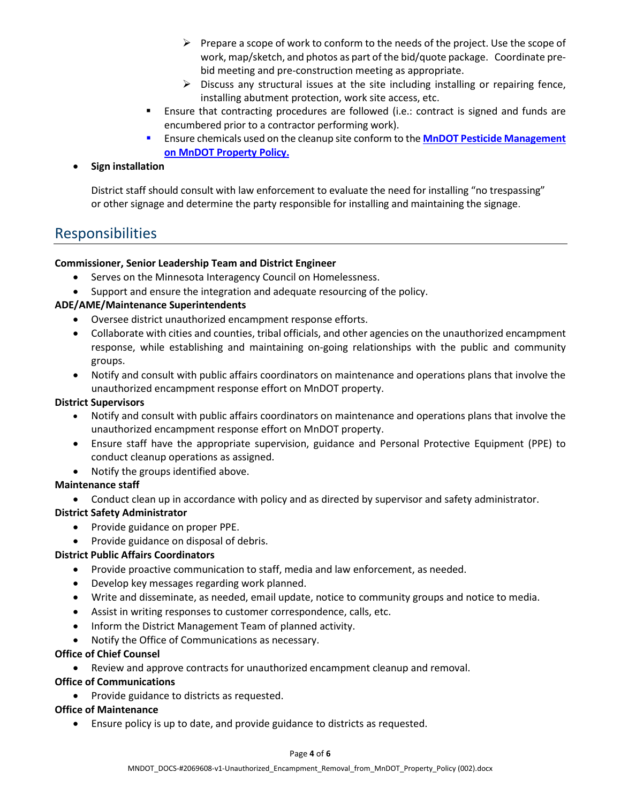- $\triangleright$  Prepare a scope of work to conform to the needs of the project. Use the scope of work, map/sketch, and photos as part of the bid/quote package. Coordinate prebid meeting and pre-construction meeting as appropriate.
- $\triangleright$  Discuss any structural issues at the site including installing or repairing fence, installing abutment protection, work site access, etc.
- Ensure that contracting procedures are followed (i.e.: contract is signed and funds are encumbered prior to a contractor performing work).
- Ensure chemicals used on the cleanup site conform to the **[MnDOT Pesticide Management](http://www.dot.state.mn.us/policy/operations/op011.html)  [on MnDOT Property Policy.](http://www.dot.state.mn.us/policy/operations/op011.html)**

#### • **Sign installation**

District staff should consult with law enforcement to evaluate the need for installing "no trespassing" or other signage and determine the party responsible for installing and maintaining the signage.

### Responsibilities

#### **Commissioner, Senior Leadership Team and District Engineer**

- Serves on the Minnesota Interagency Council on Homelessness.
- Support and ensure the integration and adequate resourcing of the policy.

#### **ADE/AME/Maintenance Superintendents**

- Oversee district unauthorized encampment response efforts.
- Collaborate with cities and counties, tribal officials, and other agencies on the unauthorized encampment response, while establishing and maintaining on-going relationships with the public and community groups.
- Notify and consult with public affairs coordinators on maintenance and operations plans that involve the unauthorized encampment response effort on MnDOT property.

#### **District Supervisors**

- Notify and consult with public affairs coordinators on maintenance and operations plans that involve the unauthorized encampment response effort on MnDOT property.
- Ensure staff have the appropriate supervision, guidance and Personal Protective Equipment (PPE) to conduct cleanup operations as assigned.
- Notify the groups identified above.

#### **Maintenance staff**

• Conduct clean up in accordance with policy and as directed by supervisor and safety administrator.

#### **District Safety Administrator**

- Provide guidance on proper PPE.
- Provide guidance on disposal of debris.

#### **District Public Affairs Coordinators**

- Provide proactive communication to staff, media and law enforcement, as needed.
- Develop key messages regarding work planned.
- Write and disseminate, as needed, email update, notice to community groups and notice to media.
- Assist in writing responses to customer correspondence, calls, etc.
- Inform the District Management Team of planned activity.
- Notify the Office of Communications as necessary.

#### **Office of Chief Counsel**

• Review and approve contracts for unauthorized encampment cleanup and removal.

#### **Office of Communications**

• Provide guidance to districts as requested.

#### **Office of Maintenance**

• Ensure policy is up to date, and provide guidance to districts as requested.

#### Page **4** of **6**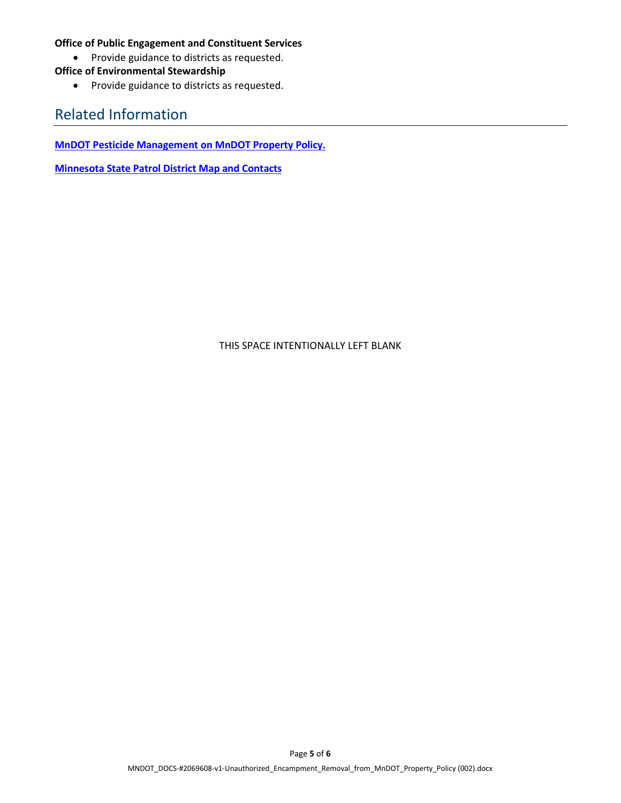#### **Office of Public Engagement and Constituent Services**

• Provide guidance to districts as requested.

#### **Office of Environmental Stewardship**

• Provide guidance to districts as requested.

## Related Information

**[MnDOT Pesticide Management on MnDOT Property Policy.](http://www.dot.state.mn.us/policy/operations/op011.html)**

**[Minnesota State Patrol District Map and Contacts](https://dps.mn.gov/divisions/msp/contact/Pages/district-index.aspx)**

#### THIS SPACE INTENTIONALLY LEFT BLANK